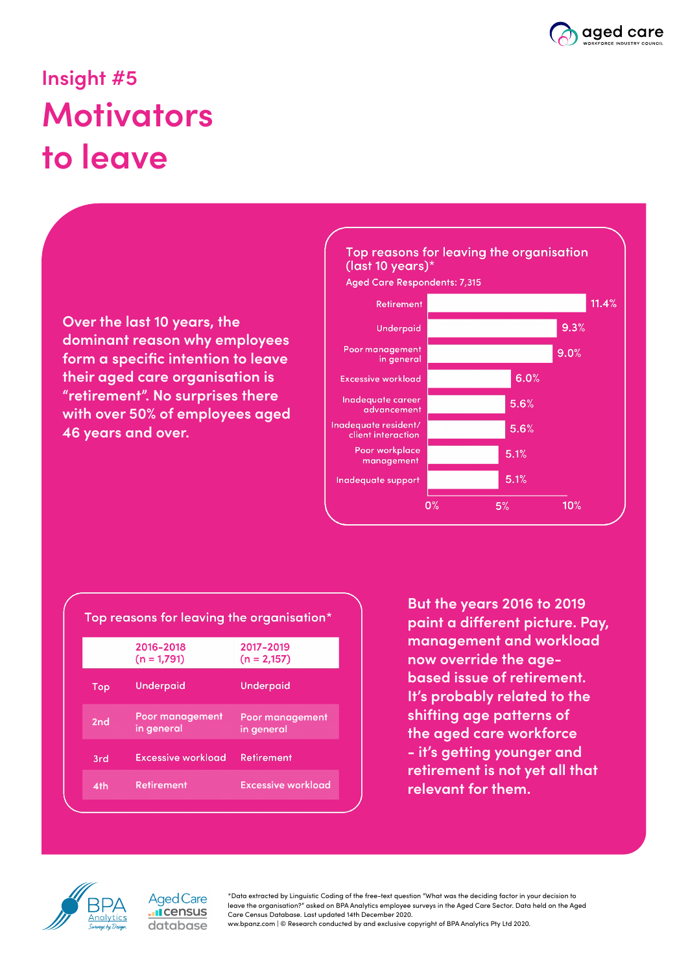

## **Insight #5 Motivators to leave**

**Over the last 10 years, the dominant reason why employees form a specific intention to leave their aged care organisation is "retirement". No surprises there with over 50% of employees aged 46 years and over.**



| Top reasons for leaving the organisation* |                               |                               |
|-------------------------------------------|-------------------------------|-------------------------------|
|                                           | 2016-2018<br>$(n = 1,791)$    | 2017-2019<br>$(n = 2,157)$    |
| Top                                       | <b>Underpaid</b>              | Underpaid                     |
| 2nd                                       | Poor management<br>in general | Poor management<br>in general |
| 3rd                                       | Excessive workload            | Retirement                    |
| 4th                                       | <b>Retirement</b>             | <b>Excessive workload</b>     |

**But the years 2016 to 2019 paint a different picture. Pay, management and workload now override the agebased issue of retirement. It's probably related to the shifting age patterns of the aged care workforce - it's getting younger and retirement is not yet all that relevant for them.**



**Aged Care I**census database

\*Data extracted by Linguistic Coding of the free-text question "What was the deciding factor in your decision to leave the organisation?" asked on BPA Analytics employee surveys in the Aged Care Sector. Data held on the Aged Care Census Database. Last updated 14th December 2020.

ww.bpanz.com | © Research conducted by and exclusive copyright of BPA Analytics Pty Ltd 2020.